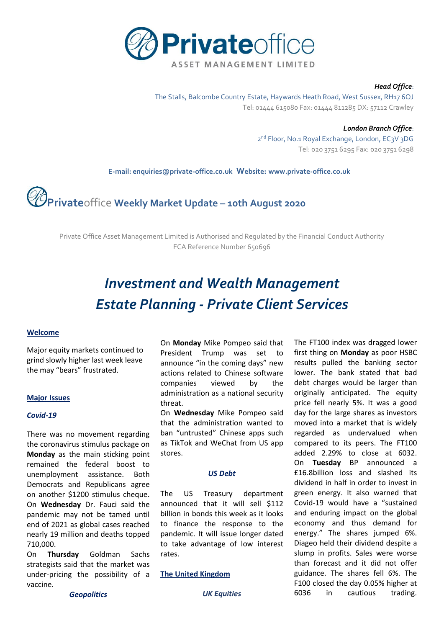

#### *Head Office*:

The Stalls, Balcombe Country Estate, Haywards Heath Road, West Sussex, RH17 6QJ Tel: 01444 615080 Fax: 01444 811285 DX: 57112 Crawley

> *London Branch Office*: 2<sup>nd</sup> Floor, No.1 Royal Exchange, London, EC3V 3DG Tel: 020 3751 6295 Fax: 020 3751 6298

 **E-mail[: enquiries@private-office.co.uk](mailto:enquiries@private-office.co.uk) Website: [www.private-office.co.uk](http://www.private-office.co.uk/)**

# **Private**office **Weekly Market Update – 10th August 2020**

Private Office Asset Management Limited is Authorised and Regulated by the Financial Conduct Authority FCA Reference Number 650696

# *Investment and Wealth Management Estate Planning - Private Client Services*

# **Welcome**

Major equity markets continued to grind slowly higher last week leave the may "bears" frustrated.

#### **Major Issues**

#### *Covid-19*

There was no movement regarding the coronavirus stimulus package on **Monday** as the main sticking point remained the federal boost to unemployment assistance. Both Democrats and Republicans agree on another \$1200 stimulus cheque. On **Wednesday** Dr. Fauci said the pandemic may not be tamed until end of 2021 as global cases reached nearly 19 million and deaths topped 710,000.

On **Thursday** Goldman Sachs strategists said that the market was under-pricing the possibility of a vaccine.

On **Monday** Mike Pompeo said that President Trump was set to announce "in the coming days" new actions related to Chinese software companies viewed by the administration as a national security threat.

On **Wednesday** Mike Pompeo said that the administration wanted to ban "untrusted" Chinese apps such as TikTok and WeChat from US app stores.

#### *US Debt*

The US Treasury department announced that it will sell \$112 billion in bonds this week as it looks to finance the response to the pandemic. It will issue longer dated to take advantage of low interest rates.

# **The United Kingdom**

The FT100 index was dragged lower first thing on **Monday** as poor HSBC results pulled the banking sector lower. The bank stated that bad debt charges would be larger than originally anticipated. The equity price fell nearly 5%. It was a good day for the large shares as investors moved into a market that is widely regarded as undervalued when compared to its peers. The FT100 added 2.29% to close at 6032. On **Tuesday** BP announced a £16.8billion loss and slashed its dividend in half in order to invest in green energy. It also warned that Covid-19 would have a "sustained and enduring impact on the global economy and thus demand for energy." The shares jumped 6%. Diageo held their dividend despite a slump in profits. Sales were worse than forecast and it did not offer guidance. The shares fell 6%. The F100 closed the day 0.05% higher at 6036 in cautious trading.

*Geopolitics*

*UK Equities*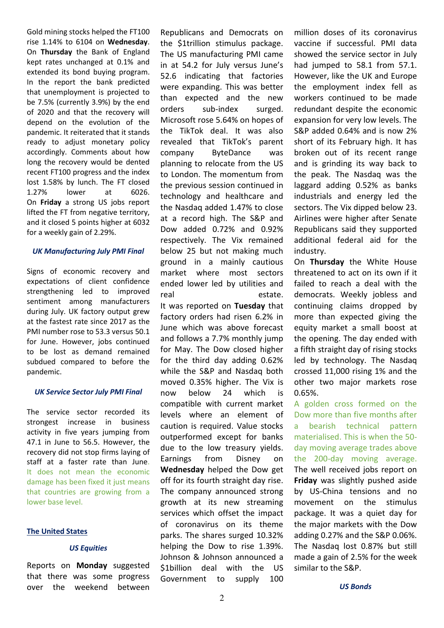Gold mining stocks helped the FT100 rise 1.14% to 6104 on **Wednesday**. On **Thursday** the Bank of England kept rates unchanged at 0.1% and extended its bond buying program. In the report the bank predicted that unemployment is projected to be 7.5% (currently 3.9%) by the end of 2020 and that the recovery will depend on the evolution of the pandemic. It reiterated that it stands ready to adjust monetary policy accordingly. Comments about how long the recovery would be dented recent FT100 progress and the index lost 1.58% by lunch. The FT closed 1.27% lower at 6026. On **Friday** a strong US jobs report lifted the FT from negative territory, and it closed 5 points higher at 6032 for a weekly gain of 2.29%.

# *UK Manufacturing July PMI Final*

Signs of economic recovery and expectations of client confidence strengthening led to improved sentiment among manufacturers during July. UK factory output grew at the fastest rate since 2017 as the PMI number rose to 53.3 versus 50.1 for June. However, jobs continued to be lost as demand remained subdued compared to before the pandemic.

# *UK Service Sector July PMI Final*

The service sector recorded its strongest increase in business activity in five years jumping from 47.1 in June to 56.5. However, the recovery did not stop firms laying of staff at a faster rate than June. It does not mean the economic damage has been fixed it just means that countries are growing from a lower base level.

#### **The United States**

# *US Equities*

Reports on **Monday** suggested that there was some progress over the weekend between

Republicans and Democrats on the \$1trillion stimulus package. The US manufacturing PMI came in at 54.2 for July versus June's 52.6 indicating that factories were expanding. This was better than expected and the new orders sub-index surged. Microsoft rose 5.64% on hopes of the TikTok deal. It was also revealed that TikTok's parent company ByteDance was planning to relocate from the US to London. The momentum from the previous session continued in technology and healthcare and the Nasdaq added 1.47% to close at a record high. The S&P and Dow added 0.72% and 0.92% respectively. The Vix remained below 25 but not making much ground in a mainly cautious market where most sectors ended lower led by utilities and real estate. It was reported on **Tuesday** that factory orders had risen 6.2% in June which was above forecast and follows a 7.7% monthly jump for May. The Dow closed higher for the third day adding 0.62% while the S&P and Nasdaq both moved 0.35% higher. The Vix is now below 24 which is compatible with current market levels where an element of caution is required. Value stocks outperformed except for banks due to the low treasury yields. Earnings from Disney on **Wednesday** helped the Dow get off for its fourth straight day rise. The company announced strong growth at its new streaming services which offset the impact of coronavirus on its theme parks. The shares surged 10.32% helping the Dow to rise 1.39%. Johnson & Johnson announced a \$1billion deal with the US Government to supply 100 million doses of its coronavirus vaccine if successful. PMI data showed the service sector in July had jumped to 58.1 from 57.1. However, like the UK and Europe the employment index fell as workers continued to be made redundant despite the economic expansion for very low levels. The S&P added 0.64% and is now 2% short of its February high. It has broken out of its recent range and is grinding its way back to the peak. The Nasdaq was the laggard adding 0.52% as banks industrials and energy led the sectors. The Vix dipped below 23. Airlines were higher after Senate Republicans said they supported additional federal aid for the industry.

On **Thursday** the White House threatened to act on its own if it failed to reach a deal with the democrats. Weekly jobless and continuing claims dropped by more than expected giving the equity market a small boost at the opening. The day ended with a fifth straight day of rising stocks led by technology. The Nasdaq crossed 11,000 rising 1% and the other two major markets rose 0.65%.

A golden cross formed on the Dow more than five months after a bearish technical pattern materialised. This is when the 50 day moving average trades above the 200-day moving average. The well received jobs report on **Friday** was slightly pushed aside by US-China tensions and no movement on the stimulus package. It was a quiet day for the major markets with the Dow adding 0.27% and the S&P 0.06%. The Nasdaq lost 0.87% but still made a gain of 2.5% for the week similar to the S&P.

*US Bonds*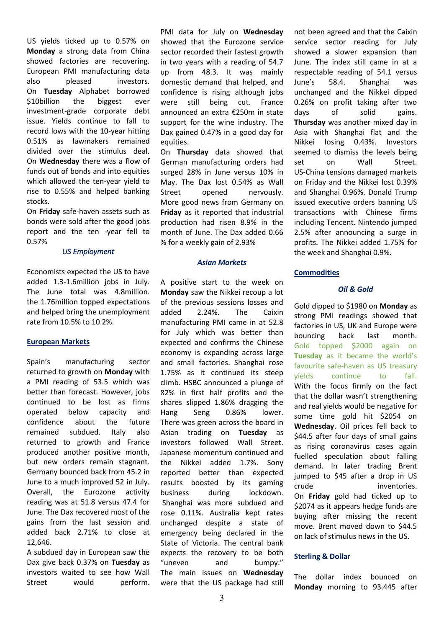US yields ticked up to 0.57% on **Monday** a strong data from China showed factories are recovering. European PMI manufacturing data also pleased investors. On **Tuesday** Alphabet borrowed \$10billion the biggest ever investment-grade corporate debt issue. Yields continue to fall to record lows with the 10-year hitting 0.51% as lawmakers remained divided over the stimulus deal. On **Wednesday** there was a flow of funds out of bonds and into equities which allowed the ten-year yield to rise to 0.55% and helped banking stocks.

On **Friday** safe-haven assets such as bonds were sold after the good jobs report and the ten -year fell to 0.57%

# *US Employment*

Economists expected the US to have added 1.3-1.6million jobs in July. The June total was 4.8million. the 1.76million topped expectations and helped bring the unemployment rate from 10.5% to 10.2%.

#### **European Markets**

Spain's manufacturing sector returned to growth on **Monday** with a PMI reading of 53.5 which was better than forecast. However, jobs continued to be lost as firms operated below capacity and confidence about the future remained subdued. Italy also returned to growth and France produced another positive month, but new orders remain stagnant. Germany bounced back from 45.2 in June to a much improved 52 in July. Overall, the Eurozone activity reading was at 51.8 versus 47.4 for June. The Dax recovered most of the gains from the last session and added back 2.71% to close at 12,646.

A subdued day in European saw the Dax give back 0.37% on **Tuesday** as investors waited to see how Wall Street would perform. PMI data for July on **Wednesday**  showed that the Eurozone service sector recorded their fastest growth in two years with a reading of 54.7 up from 48.3. It was mainly domestic demand that helped, and confidence is rising although jobs were still being cut. France announced an extra €250m in state support for the wine industry. The Dax gained 0.47% in a good day for equities.

On **Thursday** data showed that German manufacturing orders had surged 28% in June versus 10% in May. The Dax lost 0.54% as Wall Street opened nervously. More good news from Germany on **Friday** as it reported that industrial production had risen 8.9% in the month of June. The Dax added 0.66 % for a weekly gain of 2.93%

#### *Asian Markets*

A positive start to the week on **Monday** saw the Nikkei recoup a lot of the previous sessions losses and added 2.24%. The Caixin manufacturing PMI came in at 52.8 for July which was better than expected and confirms the Chinese economy is expanding across large and small factories. Shanghai rose 1.75% as it continued its steep climb. HSBC announced a plunge of 82% in first half profits and the shares slipped 1.86% dragging the Hang Seng 0.86% lower. There was green across the board in Asian trading on **Tuesday** as investors followed Wall Street. Japanese momentum continued and the Nikkei added 1.7%. Sony reported better than expected results boosted by its gaming business during lockdown. Shanghai was more subdued and rose 0.11%. Australia kept rates unchanged despite a state of emergency being declared in the State of Victoria. The central bank expects the recovery to be both "uneven and bumpy." The main issues on **Wednesday** were that the US package had still

not been agreed and that the Caixin service sector reading for July showed a slower expansion than June. The index still came in at a respectable reading of 54.1 versus June's 58.4. Shanghai was unchanged and the Nikkei dipped 0.26% on profit taking after two days of solid gains. **Thursday** was another mixed day in Asia with Shanghai flat and the Nikkei losing 0.43%. Investors seemed to dismiss the levels being set on Wall Street. US-China tensions damaged markets on Friday and the Nikkei lost 0.39% and Shanghai 0.96%. Donald Trump issued executive orders banning US transactions with Chinese firms including Tencent. Nintendo jumped 2.5% after announcing a surge in profits. The Nikkei added 1.75% for the week and Shanghai 0.9%.

## **Commodities**

# *Oil & Gold*

Gold dipped to \$1980 on **Monday** as strong PMI readings showed that factories in US, UK and Europe were bouncing back last month. Gold topped \$2000 again on **Tuesday** as it became the world's favourite safe-haven as US treasury yields continue to fall. With the focus firmly on the fact that the dollar wasn't strengthening and real yields would be negative for some time gold hit \$2054 on **Wednesday**. Oil prices fell back to \$44.5 after four days of small gains as rising coronavirus cases again fuelled speculation about falling demand. In later trading Brent jumped to \$45 after a drop in US crude inventories. On **Friday** gold had ticked up to \$2074 as it appears hedge funds are buying after missing the recent move. Brent moved down to \$44.5 on lack of stimulus news in the US.

#### **Sterling & Dollar**

The dollar index bounced on **Monday** morning to 93.445 after